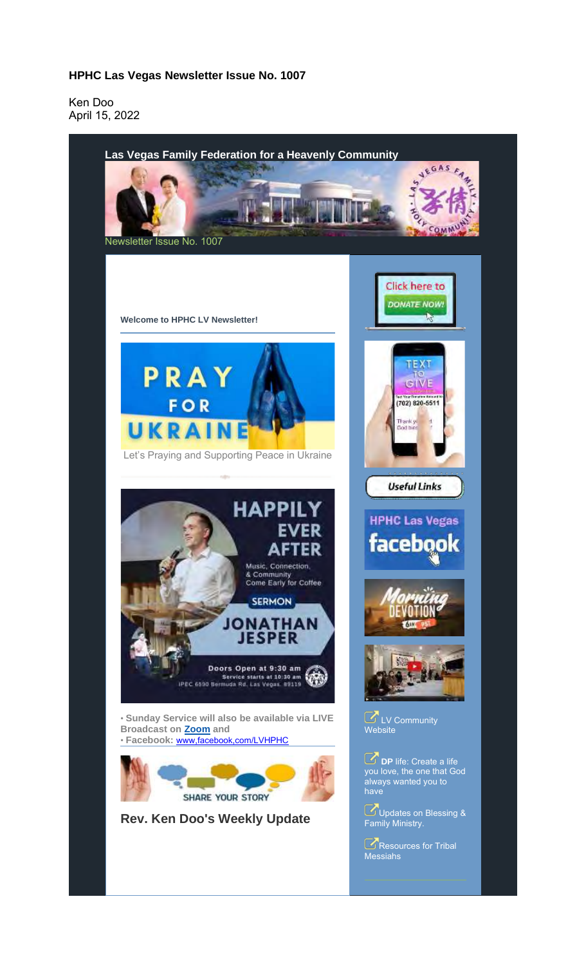#### **HPHC Las Vegas Newsletter Issue No. 1007**

Ken Doo April 15, 2022

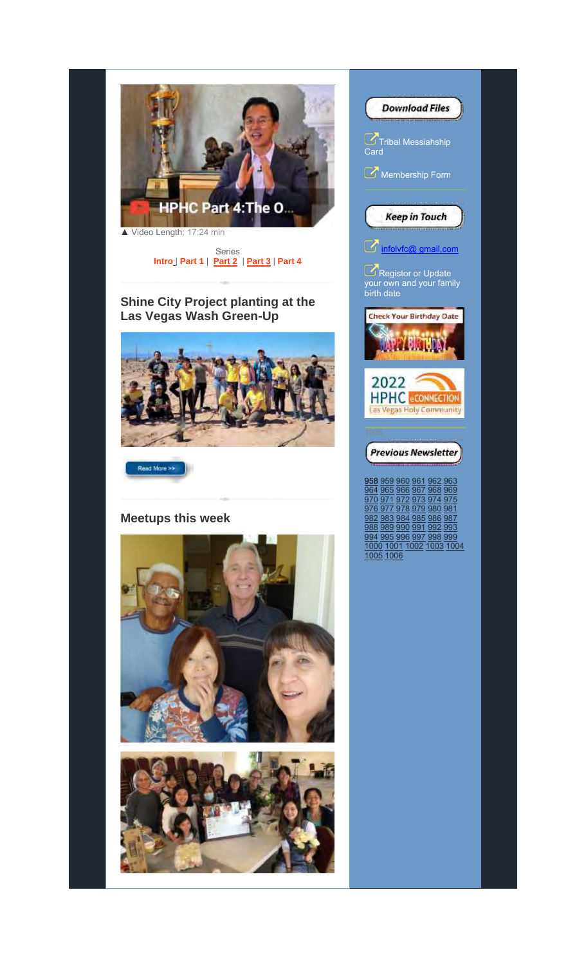

Series **Intro** | **Part 1** | **Part 2** | **Part 3** | **Part 4**

## **Shine City Project planting at the Las Vegas Wash Green-Up**





#### **Meetups this week**







<u>958 959 960 961 962 963</u> <u>964 965 966 967 968 969</u> <u>970 971 972 973 974 975</u> 976 977 978 979 980 981 <u>982 983 984 985 986 987</u> <u>988 989 990 991 992 993</u> <u>994 995 996 997 998 999</u> 1000 1001 1002 1003 1004 1005 1006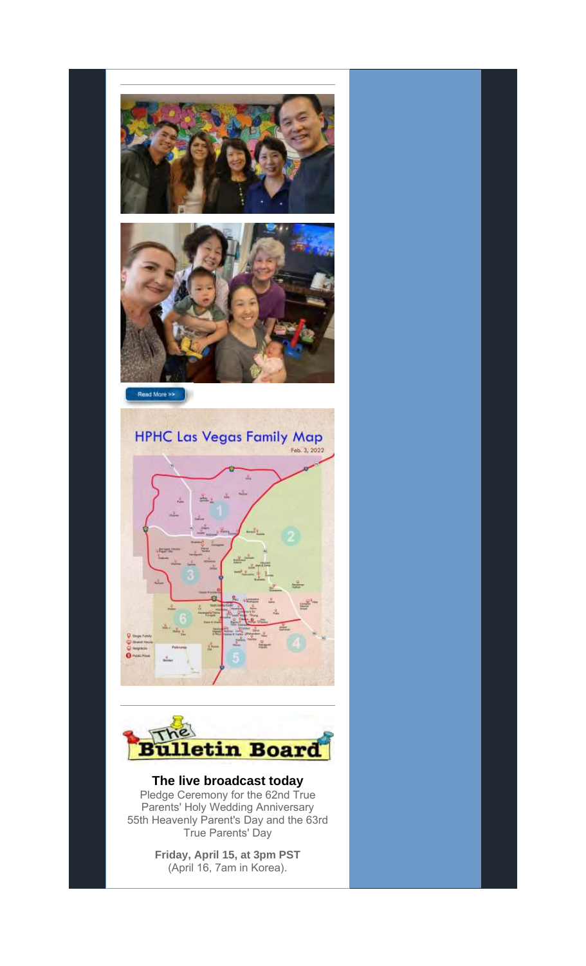

**Friday, April 15, at 3pm PST**  (April 16, 7am in Korea).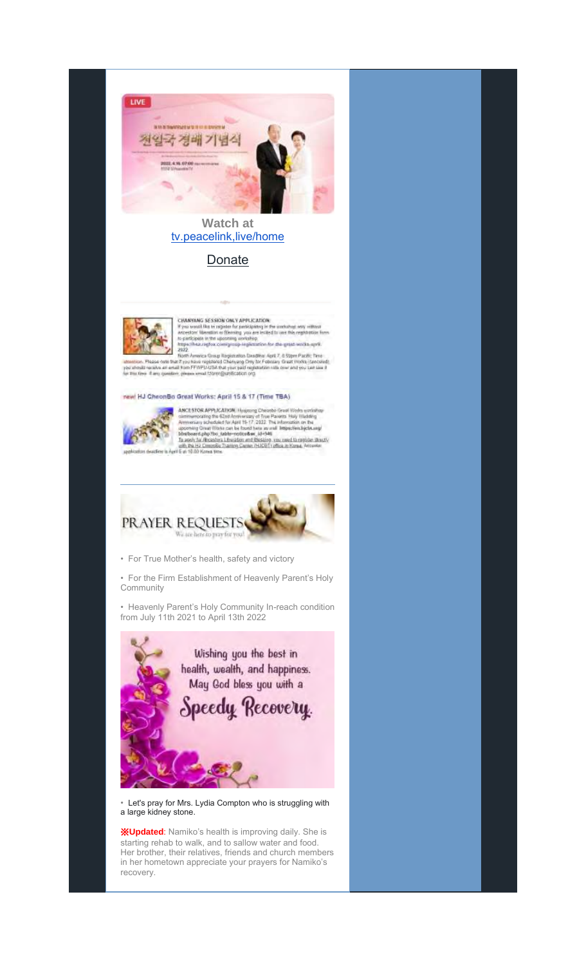

## **Watch at** tv.peacelink,live/home

# **Donate**



CHANYANG SESSION ONLY APPLICATION: Convention in a property for the concernence of the workship sets influed<br>if you would like in register for periodicities in the restriction from<br>the periodicity in the upcoming workship.<br>https://theoretical.com/prospectiv

 $\label{eq:2} \underbrace{\text{Ricft}}_{\text{2D2D}} \underbrace{\text{Ricft}}_{\text{2D2D}} \underbrace{\text{Ricft}}_{\text{2D2D}} \underbrace{\text{Ricft}}_{\text{2D2D}} \underbrace{\text{Ricft}}_{\text{2D2D}} \underbrace{\text{Ricft}}_{\text{2D2D}} \underbrace{\text{Ricft}}_{\text{2D2D}} \underbrace{\text{Ricft}}_{\text{2D2D}} \underbrace{\text{Ricft}}_{\text{2D2D}} \underbrace{\text{Ricft}}_{\text{2D2D}} \underbrace{\text{Ricft}}_{\text{2D2D}} \underbrace{\$ 

#### new! HJ CheonBo Great Works: April 15 & 17 (Time TBA)



**ANCE STOR APPELCATION**. Hysigang Cheorico Grani Wesh surfactors comments and alternative Cape Assume and Thus Patients Holy Widdle's approximate policidate for April 15-17, 2022. This intermation on the approximate the p



• For True Mother's health, safety and victory

• For the Firm Establishment of Heavenly Parent's Holy Community

• Heavenly Parent's Holy Community In-reach condition from July 11th 2021 to April 13th 2022



• Let's pray for Mrs. Lydia Compton who is struggling with a large kidney stone.

※**Updated**: Namiko's health is improving daily. She is starting rehab to walk, and to sallow water and food. Her brother, their relatives, friends and church members in her hometown appreciate your prayers for Namiko's recovery.